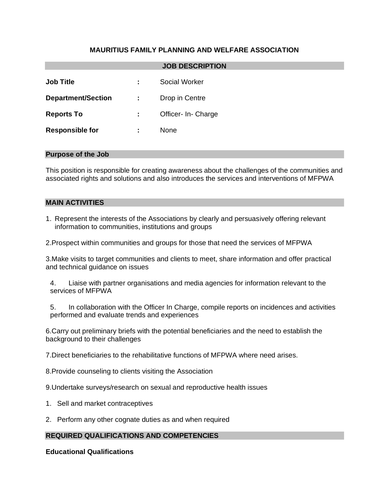# **MAURITIUS FAMILY PLANNING AND WELFARE ASSOCIATION**

| <b>JOB DESCRIPTION</b>    |   |                      |
|---------------------------|---|----------------------|
| <b>Job Title</b>          | ÷ | <b>Social Worker</b> |
| <b>Department/Section</b> | ÷ | Drop in Centre       |
| <b>Reports To</b>         | ÷ | Officer- In- Charge  |
| <b>Responsible for</b>    | ÷ | None                 |
|                           |   |                      |

### **Purpose of the Job**

This position is responsible for creating awareness about the challenges of the communities and associated rights and solutions and also introduces the services and interventions of MFPWA

### **MAIN ACTIVITIES**

1. Represent the interests of the Associations by clearly and persuasively offering relevant information to communities, institutions and groups

2.Prospect within communities and groups for those that need the services of MFPWA

3.Make visits to target communities and clients to meet, share information and offer practical and technical guidance on issues

4. Liaise with partner organisations and media agencies for information relevant to the services of MFPWA

5. In collaboration with the Officer In Charge, compile reports on incidences and activities performed and evaluate trends and experiences

6.Carry out preliminary briefs with the potential beneficiaries and the need to establish the background to their challenges

7.Direct beneficiaries to the rehabilitative functions of MFPWA where need arises.

8.Provide counseling to clients visiting the Association

9.Undertake surveys/research on sexual and reproductive health issues

- 1. Sell and market contraceptives
- 2. Perform any other cognate duties as and when required

## **REQUIRED QUALIFICATIONS AND COMPETENCIES**

**Educational Qualifications**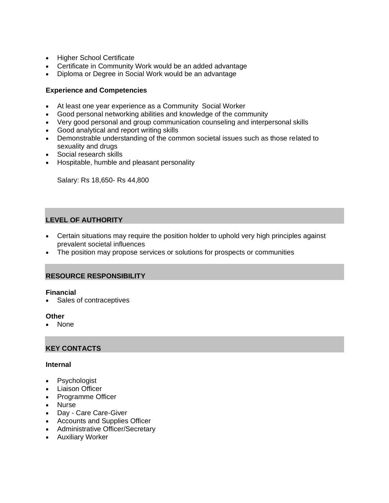- Higher School Certificate
- Certificate in Community Work would be an added advantage
- Diploma or Degree in Social Work would be an advantage

## **Experience and Competencies**

- At least one year experience as a Community Social Worker
- Good personal networking abilities and knowledge of the community
- Very good personal and group communication counseling and interpersonal skills
- Good analytical and report writing skills
- Demonstrable understanding of the common societal issues such as those related to sexuality and drugs
- Social research skills
- Hospitable, humble and pleasant personality

Salary: Rs 18,650- Rs 44,800

# **LEVEL OF AUTHORITY**

- Certain situations may require the position holder to uphold very high principles against prevalent societal influences
- The position may propose services or solutions for prospects or communities

## **RESOURCE RESPONSIBILITY**

## **Financial**

• Sales of contraceptives

#### **Other**

• None

## **KEY CONTACTS**

#### **Internal**

- Psychologist
- Liaison Officer
- Programme Officer
- Nurse
- Day Care Care-Giver
- Accounts and Supplies Officer
- Administrative Officer/Secretary
- Auxiliary Worker